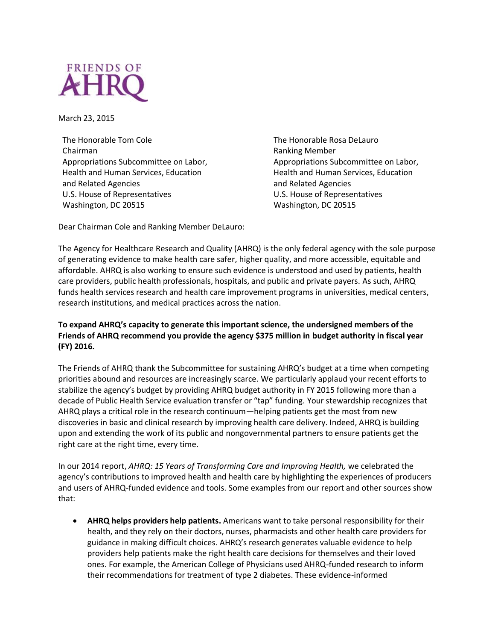

March 23, 2015

The Honorable Tom Cole Chairman Appropriations Subcommittee on Labor, Health and Human Services, Education and Related Agencies U.S. House of Representatives Washington, DC 20515

The Honorable Rosa DeLauro Ranking Member Appropriations Subcommittee on Labor, Health and Human Services, Education and Related Agencies U.S. House of Representatives Washington, DC 20515

Dear Chairman Cole and Ranking Member DeLauro:

The Agency for Healthcare Research and Quality (AHRQ) is the only federal agency with the sole purpose of generating evidence to make health care safer, higher quality, and more accessible, equitable and affordable. AHRQ is also working to ensure such evidence is understood and used by patients, health care providers, public health professionals, hospitals, and public and private payers. As such, AHRQ funds health services research and health care improvement programs in universities, medical centers, research institutions, and medical practices across the nation.

## **To expand AHRQ's capacity to generate this important science, the undersigned members of the Friends of AHRQ recommend you provide the agency \$375 million in budget authority in fiscal year (FY) 2016.**

The Friends of AHRQ thank the Subcommittee for sustaining AHRQ's budget at a time when competing priorities abound and resources are increasingly scarce. We particularly applaud your recent efforts to stabilize the agency's budget by providing AHRQ budget authority in FY 2015 following more than a decade of Public Health Service evaluation transfer or "tap" funding. Your stewardship recognizes that AHRQ plays a critical role in the research continuum—helping patients get the most from new discoveries in basic and clinical research by improving health care delivery. Indeed, AHRQ is building upon and extending the work of its public and nongovernmental partners to ensure patients get the right care at the right time, every time.

In our 2014 report, *AHRQ: 15 Years of Transforming Care and Improving Health,* we celebrated the agency's contributions to improved health and health care by highlighting the experiences of producers and users of AHRQ-funded evidence and tools. Some examples from our report and other sources show that:

 **AHRQ helps providers help patients.** Americans want to take personal responsibility for their health, and they rely on their doctors, nurses, pharmacists and other health care providers for guidance in making difficult choices. AHRQ's research generates valuable evidence to help providers help patients make the right health care decisions for themselves and their loved ones. For example, the American College of Physicians used AHRQ-funded research to inform their recommendations for treatment of type 2 diabetes. These evidence-informed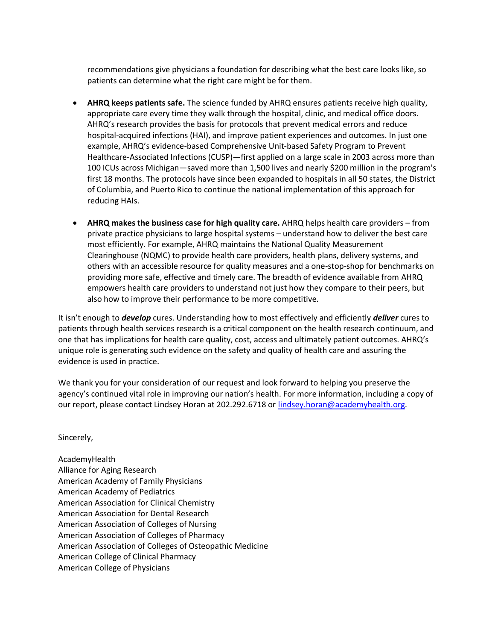recommendations give physicians a foundation for describing what the best care looks like, so patients can determine what the right care might be for them.

- **AHRQ keeps patients safe.** The science funded by AHRQ ensures patients receive high quality, appropriate care every time they walk through the hospital, clinic, and medical office doors. AHRQ's research provides the basis for protocols that prevent medical errors and reduce hospital-acquired infections (HAI), and improve patient experiences and outcomes. In just one example, AHRQ's evidence-based Comprehensive Unit-based Safety Program to Prevent Healthcare-Associated Infections (CUSP)—first applied on a large scale in 2003 across more than 100 ICUs across Michigan—saved more than 1,500 lives and nearly \$200 million in the program's first 18 months. The protocols have since been expanded to hospitals in all 50 states, the District of Columbia, and Puerto Rico to continue the national implementation of this approach for reducing HAIs.
- **AHRQ makes the business case for high quality care.** AHRQ helps health care providers from private practice physicians to large hospital systems – understand how to deliver the best care most efficiently. For example, AHRQ maintains the National Quality Measurement Clearinghouse (NQMC) to provide health care providers, health plans, delivery systems, and others with an accessible resource for quality measures and a one-stop-shop for benchmarks on providing more safe, effective and timely care. The breadth of evidence available from AHRQ empowers health care providers to understand not just how they compare to their peers, but also how to improve their performance to be more competitive.

It isn't enough to *develop* cures. Understanding how to most effectively and efficiently *deliver* cures to patients through health services research is a critical component on the health research continuum, and one that has implications for health care quality, cost, access and ultimately patient outcomes. AHRQ's unique role is generating such evidence on the safety and quality of health care and assuring the evidence is used in practice.

We thank you for your consideration of our request and look forward to helping you preserve the agency's continued vital role in improving our nation's health. For more information, including a copy of our report, please contact Lindsey Horan at 202.292.6718 or [lindsey.horan@academyhealth.org.](mailto:lindsey.horan@academyhealth.org)

Sincerely,

AcademyHealth Alliance for Aging Research American Academy of Family Physicians American Academy of Pediatrics American Association for Clinical Chemistry American Association for Dental Research American Association of Colleges of Nursing American Association of Colleges of Pharmacy American Association of Colleges of Osteopathic Medicine American College of Clinical Pharmacy American College of Physicians